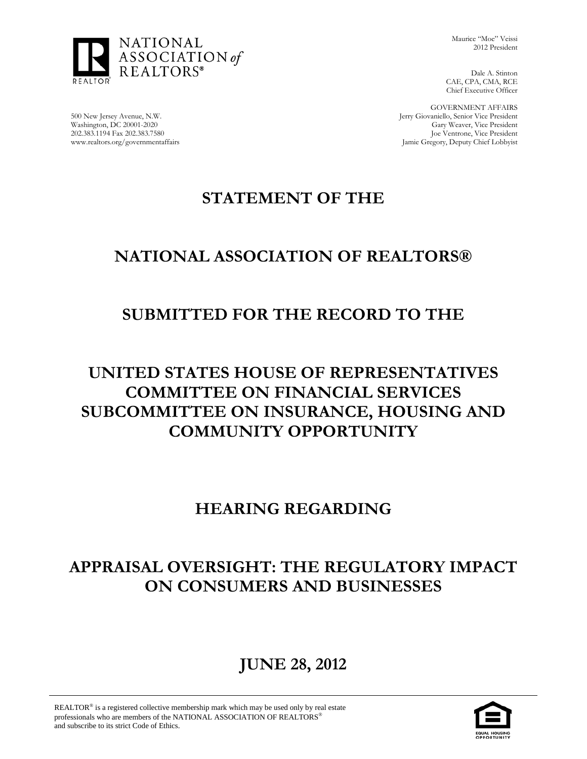

Maurice "Moe" Veissi 2012 President

Dale A. Stinton CAE, CPA, CMA, RCE Chief Executive Officer

GOVERNMENT AFFAIRS Jerry Giovaniello, Senior Vice President Gary Weaver, Vice President Joe Ventrone, Vice President Jamie Gregory, Deputy Chief Lobbyist

500 New Jersey Avenue, N.W. Washington, DC 20001-2020 202.383.1194 Fax 202.383.7580 www.realtors.org/governmentaffairs

# **STATEMENT OF THE**

# **NATIONAL ASSOCIATION OF REALTORS®**

### **SUBMITTED FOR THE RECORD TO THE**

# **UNITED STATES HOUSE OF REPRESENTATIVES COMMITTEE ON FINANCIAL SERVICES SUBCOMMITTEE ON INSURANCE, HOUSING AND COMMUNITY OPPORTUNITY**

### **HEARING REGARDING**

# **APPRAISAL OVERSIGHT: THE REGULATORY IMPACT ON CONSUMERS AND BUSINESSES**

# **JUNE 28, 2012**

REALTOR<sup>®</sup> is a registered collective membership mark which may be used only by real estate professionals who are members of the NATIONAL ASSOCIATION OF REALTORS<sup>®</sup> and subscribe to its strict Code of Ethics.

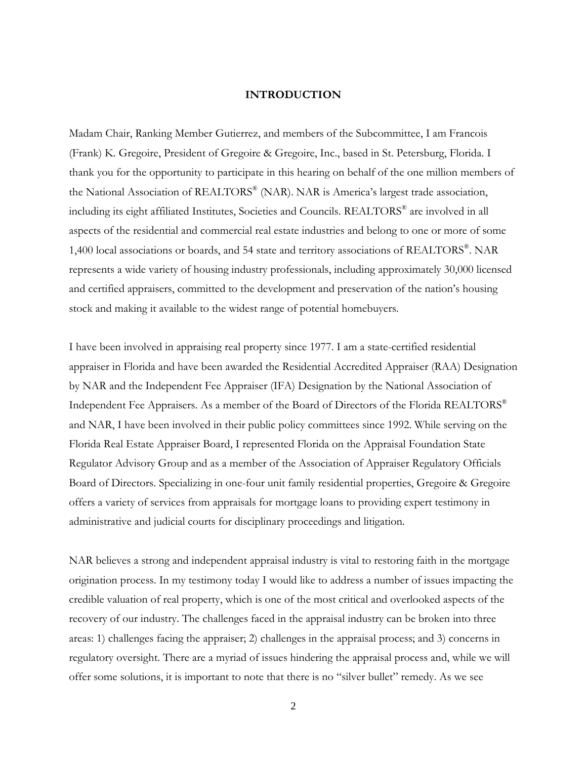#### **INTRODUCTION**

Madam Chair, Ranking Member Gutierrez, and members of the Subcommittee, I am Francois (Frank) K. Gregoire, President of Gregoire & Gregoire, Inc., based in St. Petersburg, Florida. I thank you for the opportunity to participate in this hearing on behalf of the one million members of the National Association of REALTORS® (NAR). NAR is America's largest trade association, including its eight affiliated Institutes, Societies and Councils. REALTORS® are involved in all aspects of the residential and commercial real estate industries and belong to one or more of some 1,400 local associations or boards, and 54 state and territory associations of REALTORS®. NAR represents a wide variety of housing industry professionals, including approximately 30,000 licensed and certified appraisers, committed to the development and preservation of the nation's housing stock and making it available to the widest range of potential homebuyers.

I have been involved in appraising real property since 1977. I am a state-certified residential appraiser in Florida and have been awarded the Residential Accredited Appraiser (RAA) Designation by NAR and the Independent Fee Appraiser (IFA) Designation by the National Association of Independent Fee Appraisers. As a member of the Board of Directors of the Florida REALTORS® and NAR, I have been involved in their public policy committees since 1992. While serving on the Florida Real Estate Appraiser Board, I represented Florida on the Appraisal Foundation State Regulator Advisory Group and as a member of the Association of Appraiser Regulatory Officials Board of Directors. Specializing in one-four unit family residential properties, Gregoire & Gregoire offers a variety of services from appraisals for mortgage loans to providing expert testimony in administrative and judicial courts for disciplinary proceedings and litigation.

NAR believes a strong and independent appraisal industry is vital to restoring faith in the mortgage origination process. In my testimony today I would like to address a number of issues impacting the credible valuation of real property, which is one of the most critical and overlooked aspects of the recovery of our industry. The challenges faced in the appraisal industry can be broken into three areas: 1) challenges facing the appraiser; 2) challenges in the appraisal process; and 3) concerns in regulatory oversight. There are a myriad of issues hindering the appraisal process and, while we will offer some solutions, it is important to note that there is no "silver bullet" remedy. As we see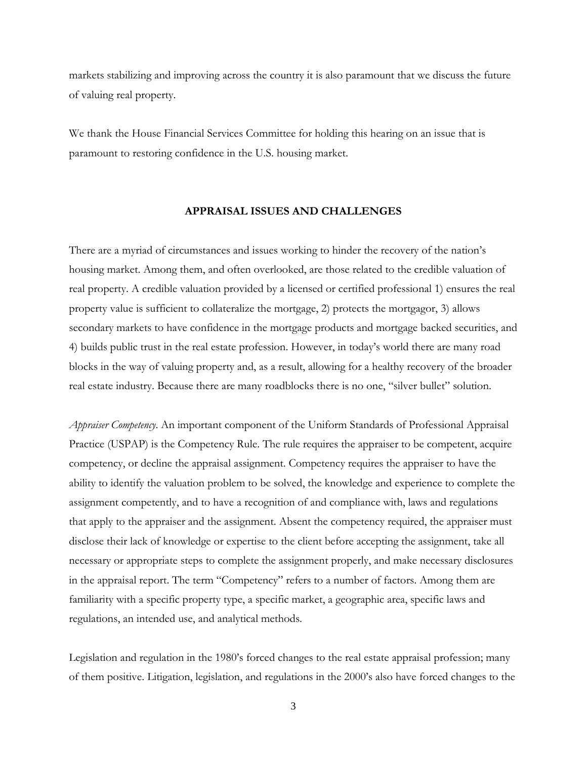markets stabilizing and improving across the country it is also paramount that we discuss the future of valuing real property.

We thank the House Financial Services Committee for holding this hearing on an issue that is paramount to restoring confidence in the U.S. housing market.

#### **APPRAISAL ISSUES AND CHALLENGES**

There are a myriad of circumstances and issues working to hinder the recovery of the nation's housing market. Among them, and often overlooked, are those related to the credible valuation of real property. A credible valuation provided by a licensed or certified professional 1) ensures the real property value is sufficient to collateralize the mortgage, 2) protects the mortgagor, 3) allows secondary markets to have confidence in the mortgage products and mortgage backed securities, and 4) builds public trust in the real estate profession. However, in today's world there are many road blocks in the way of valuing property and, as a result, allowing for a healthy recovery of the broader real estate industry. Because there are many roadblocks there is no one, "silver bullet" solution.

*Appraiser Competency*. An important component of the Uniform Standards of Professional Appraisal Practice (USPAP) is the Competency Rule. The rule requires the appraiser to be competent, acquire competency, or decline the appraisal assignment. Competency requires the appraiser to have the ability to identify the valuation problem to be solved, the knowledge and experience to complete the assignment competently, and to have a recognition of and compliance with, laws and regulations that apply to the appraiser and the assignment. Absent the competency required, the appraiser must disclose their lack of knowledge or expertise to the client before accepting the assignment, take all necessary or appropriate steps to complete the assignment properly, and make necessary disclosures in the appraisal report. The term "Competency" refers to a number of factors. Among them are familiarity with a specific property type, a specific market, a geographic area, specific laws and regulations, an intended use, and analytical methods.

Legislation and regulation in the 1980's forced changes to the real estate appraisal profession; many of them positive. Litigation, legislation, and regulations in the 2000's also have forced changes to the

3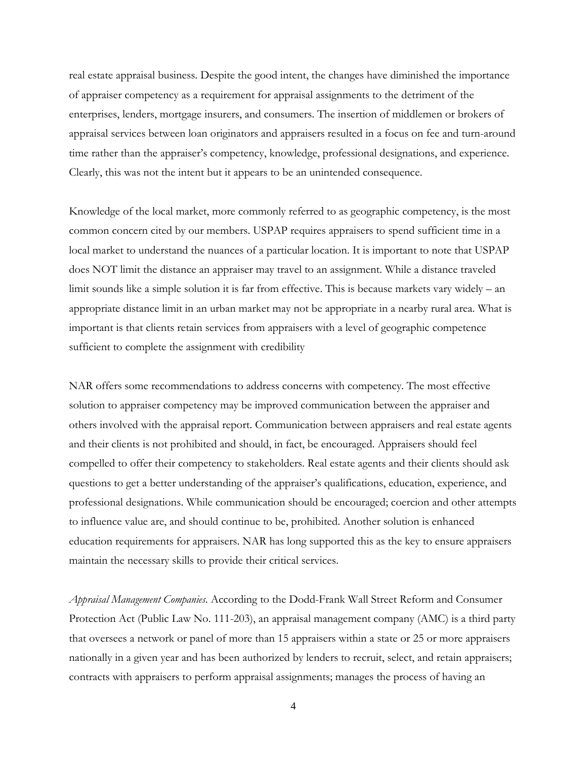real estate appraisal business. Despite the good intent, the changes have diminished the importance of appraiser competency as a requirement for appraisal assignments to the detriment of the enterprises, lenders, mortgage insurers, and consumers. The insertion of middlemen or brokers of appraisal services between loan originators and appraisers resulted in a focus on fee and turn-around time rather than the appraiser's competency, knowledge, professional designations, and experience. Clearly, this was not the intent but it appears to be an unintended consequence.

Knowledge of the local market, more commonly referred to as geographic competency, is the most common concern cited by our members. USPAP requires appraisers to spend sufficient time in a local market to understand the nuances of a particular location. It is important to note that USPAP does NOT limit the distance an appraiser may travel to an assignment. While a distance traveled limit sounds like a simple solution it is far from effective. This is because markets vary widely – an appropriate distance limit in an urban market may not be appropriate in a nearby rural area. What is important is that clients retain services from appraisers with a level of geographic competence sufficient to complete the assignment with credibility

NAR offers some recommendations to address concerns with competency. The most effective solution to appraiser competency may be improved communication between the appraiser and others involved with the appraisal report. Communication between appraisers and real estate agents and their clients is not prohibited and should, in fact, be encouraged. Appraisers should feel compelled to offer their competency to stakeholders. Real estate agents and their clients should ask questions to get a better understanding of the appraiser's qualifications, education, experience, and professional designations. While communication should be encouraged; coercion and other attempts to influence value are, and should continue to be, prohibited. Another solution is enhanced education requirements for appraisers. NAR has long supported this as the key to ensure appraisers maintain the necessary skills to provide their critical services.

*Appraisal Management Companies*. According to the Dodd-Frank Wall Street Reform and Consumer Protection Act (Public Law No. 111-203), an appraisal management company (AMC) is a third party that oversees a network or panel of more than 15 appraisers within a state or 25 or more appraisers nationally in a given year and has been authorized by lenders to recruit, select, and retain appraisers; contracts with appraisers to perform appraisal assignments; manages the process of having an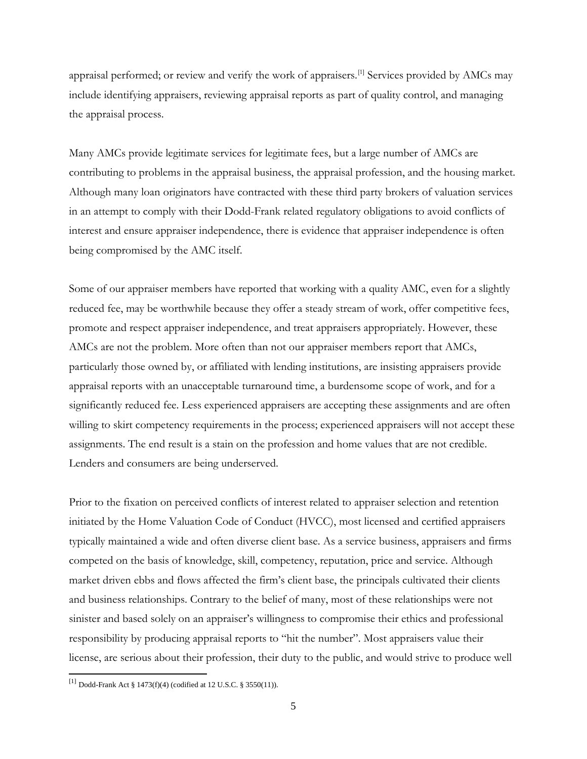appraisal performed; or review and verify the work of appraisers.<sup>[\[1\]](#page-4-0)</sup> Services provided by AMCs may include identifying appraisers, reviewing appraisal reports as part of quality control, and managing the appraisal process.

Many AMCs provide legitimate services for legitimate fees, but a large number of AMCs are contributing to problems in the appraisal business, the appraisal profession, and the housing market. Although many loan originators have contracted with these third party brokers of valuation services in an attempt to comply with their Dodd-Frank related regulatory obligations to avoid conflicts of interest and ensure appraiser independence, there is evidence that appraiser independence is often being compromised by the AMC itself.

Some of our appraiser members have reported that working with a quality AMC, even for a slightly reduced fee, may be worthwhile because they offer a steady stream of work, offer competitive fees, promote and respect appraiser independence, and treat appraisers appropriately. However, these AMCs are not the problem. More often than not our appraiser members report that AMCs, particularly those owned by, or affiliated with lending institutions, are insisting appraisers provide appraisal reports with an unacceptable turnaround time, a burdensome scope of work, and for a significantly reduced fee. Less experienced appraisers are accepting these assignments and are often willing to skirt competency requirements in the process; experienced appraisers will not accept these assignments. The end result is a stain on the profession and home values that are not credible. Lenders and consumers are being underserved.

Prior to the fixation on perceived conflicts of interest related to appraiser selection and retention initiated by the Home Valuation Code of Conduct (HVCC), most licensed and certified appraisers typically maintained a wide and often diverse client base. As a service business, appraisers and firms competed on the basis of knowledge, skill, competency, reputation, price and service. Although market driven ebbs and flows affected the firm's client base, the principals cultivated their clients and business relationships. Contrary to the belief of many, most of these relationships were not sinister and based solely on an appraiser's willingness to compromise their ethics and professional responsibility by producing appraisal reports to "hit the number". Most appraisers value their license, are serious about their profession, their duty to the public, and would strive to produce well

<span id="page-4-0"></span> <sup>[1]</sup> Dodd-Frank Act § 1473(f)(4) (codified at 12 U.S.C. § 3550(11)).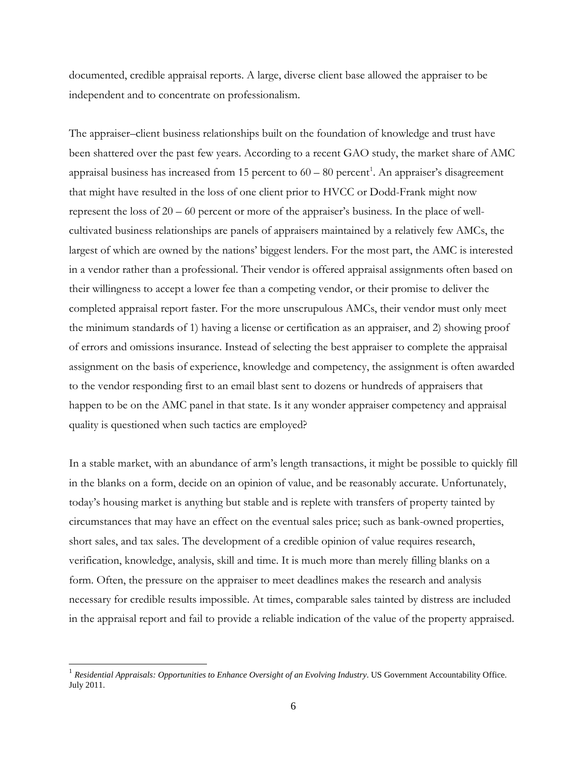documented, credible appraisal reports. A large, diverse client base allowed the appraiser to be independent and to concentrate on professionalism.

The appraiser–client business relationships built on the foundation of knowledge and trust have been shattered over the past few years. According to a recent GAO study, the market share of AMC appraisal business has increased from [1](#page-5-0)5 percent to  $60 - 80$  percent<sup>1</sup>. An appraiser's disagreement that might have resulted in the loss of one client prior to HVCC or Dodd-Frank might now represent the loss of 20 – 60 percent or more of the appraiser's business. In the place of wellcultivated business relationships are panels of appraisers maintained by a relatively few AMCs, the largest of which are owned by the nations' biggest lenders. For the most part, the AMC is interested in a vendor rather than a professional. Their vendor is offered appraisal assignments often based on their willingness to accept a lower fee than a competing vendor, or their promise to deliver the completed appraisal report faster. For the more unscrupulous AMCs, their vendor must only meet the minimum standards of 1) having a license or certification as an appraiser, and 2) showing proof of errors and omissions insurance. Instead of selecting the best appraiser to complete the appraisal assignment on the basis of experience, knowledge and competency, the assignment is often awarded to the vendor responding first to an email blast sent to dozens or hundreds of appraisers that happen to be on the AMC panel in that state. Is it any wonder appraiser competency and appraisal quality is questioned when such tactics are employed?

In a stable market, with an abundance of arm's length transactions, it might be possible to quickly fill in the blanks on a form, decide on an opinion of value, and be reasonably accurate. Unfortunately, today's housing market is anything but stable and is replete with transfers of property tainted by circumstances that may have an effect on the eventual sales price; such as bank-owned properties, short sales, and tax sales. The development of a credible opinion of value requires research, verification, knowledge, analysis, skill and time. It is much more than merely filling blanks on a form. Often, the pressure on the appraiser to meet deadlines makes the research and analysis necessary for credible results impossible. At times, comparable sales tainted by distress are included in the appraisal report and fail to provide a reliable indication of the value of the property appraised.

<span id="page-5-0"></span><sup>&</sup>lt;sup>1</sup> Residential Appraisals: Opportunities to Enhance Oversight of an Evolving Industry. US Government Accountability Office. July 2011.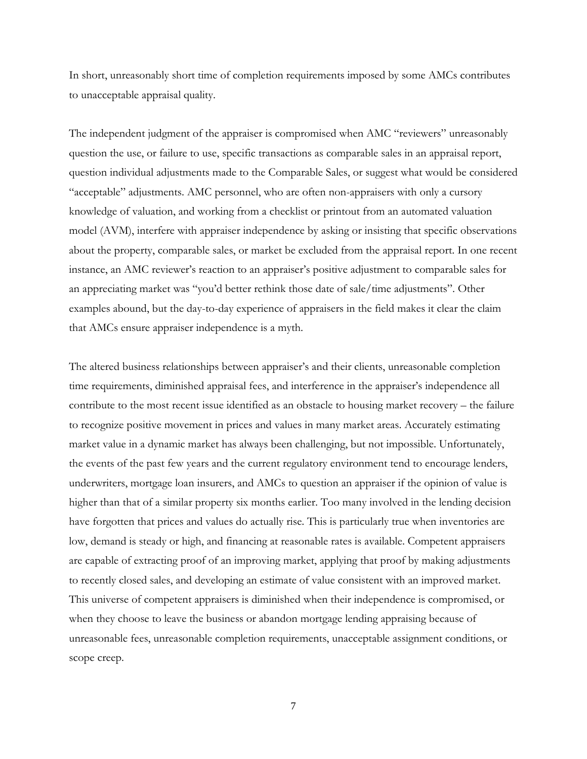In short, unreasonably short time of completion requirements imposed by some AMCs contributes to unacceptable appraisal quality.

The independent judgment of the appraiser is compromised when AMC "reviewers" unreasonably question the use, or failure to use, specific transactions as comparable sales in an appraisal report, question individual adjustments made to the Comparable Sales, or suggest what would be considered "acceptable" adjustments. AMC personnel, who are often non-appraisers with only a cursory knowledge of valuation, and working from a checklist or printout from an automated valuation model (AVM), interfere with appraiser independence by asking or insisting that specific observations about the property, comparable sales, or market be excluded from the appraisal report. In one recent instance, an AMC reviewer's reaction to an appraiser's positive adjustment to comparable sales for an appreciating market was "you'd better rethink those date of sale/time adjustments". Other examples abound, but the day-to-day experience of appraisers in the field makes it clear the claim that AMCs ensure appraiser independence is a myth.

The altered business relationships between appraiser's and their clients, unreasonable completion time requirements, diminished appraisal fees, and interference in the appraiser's independence all contribute to the most recent issue identified as an obstacle to housing market recovery – the failure to recognize positive movement in prices and values in many market areas. Accurately estimating market value in a dynamic market has always been challenging, but not impossible. Unfortunately, the events of the past few years and the current regulatory environment tend to encourage lenders, underwriters, mortgage loan insurers, and AMCs to question an appraiser if the opinion of value is higher than that of a similar property six months earlier. Too many involved in the lending decision have forgotten that prices and values do actually rise. This is particularly true when inventories are low, demand is steady or high, and financing at reasonable rates is available. Competent appraisers are capable of extracting proof of an improving market, applying that proof by making adjustments to recently closed sales, and developing an estimate of value consistent with an improved market. This universe of competent appraisers is diminished when their independence is compromised, or when they choose to leave the business or abandon mortgage lending appraising because of unreasonable fees, unreasonable completion requirements, unacceptable assignment conditions, or scope creep.

7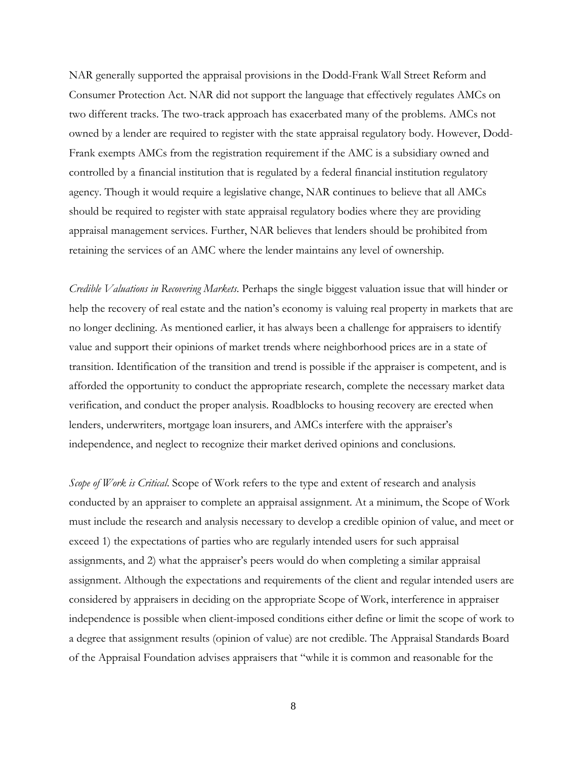NAR generally supported the appraisal provisions in the Dodd-Frank Wall Street Reform and Consumer Protection Act. NAR did not support the language that effectively regulates AMCs on two different tracks. The two-track approach has exacerbated many of the problems. AMCs not owned by a lender are required to register with the state appraisal regulatory body. However, Dodd-Frank exempts AMCs from the registration requirement if the AMC is a subsidiary owned and controlled by a financial institution that is regulated by a federal financial institution regulatory agency. Though it would require a legislative change, NAR continues to believe that all AMCs should be required to register with state appraisal regulatory bodies where they are providing appraisal management services. Further, NAR believes that lenders should be prohibited from retaining the services of an AMC where the lender maintains any level of ownership.

*Credible Valuations in Recovering Markets*. Perhaps the single biggest valuation issue that will hinder or help the recovery of real estate and the nation's economy is valuing real property in markets that are no longer declining. As mentioned earlier, it has always been a challenge for appraisers to identify value and support their opinions of market trends where neighborhood prices are in a state of transition. Identification of the transition and trend is possible if the appraiser is competent, and is afforded the opportunity to conduct the appropriate research, complete the necessary market data verification, and conduct the proper analysis. Roadblocks to housing recovery are erected when lenders, underwriters, mortgage loan insurers, and AMCs interfere with the appraiser's independence, and neglect to recognize their market derived opinions and conclusions.

*Scope of Work is Critical*. Scope of Work refers to the type and extent of research and analysis conducted by an appraiser to complete an appraisal assignment. At a minimum, the Scope of Work must include the research and analysis necessary to develop a credible opinion of value, and meet or exceed 1) the expectations of parties who are regularly intended users for such appraisal assignments, and 2) what the appraiser's peers would do when completing a similar appraisal assignment. Although the expectations and requirements of the client and regular intended users are considered by appraisers in deciding on the appropriate Scope of Work, interference in appraiser independence is possible when client-imposed conditions either define or limit the scope of work to a degree that assignment results (opinion of value) are not credible. The Appraisal Standards Board of the Appraisal Foundation advises appraisers that "while it is common and reasonable for the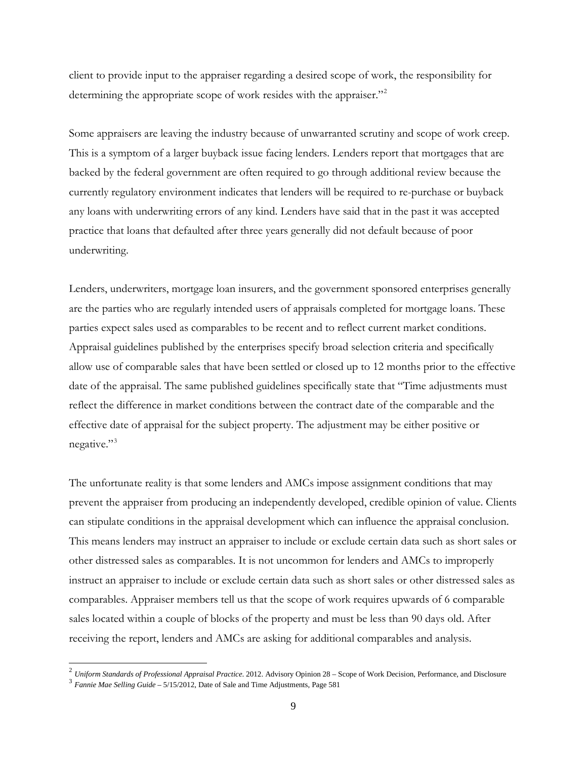client to provide input to the appraiser regarding a desired scope of work, the responsibility for determining the appropriate scope of work resides with the appraiser."<sup>[2](#page-8-0)</sup>

Some appraisers are leaving the industry because of unwarranted scrutiny and scope of work creep. This is a symptom of a larger buyback issue facing lenders. Lenders report that mortgages that are backed by the federal government are often required to go through additional review because the currently regulatory environment indicates that lenders will be required to re-purchase or buyback any loans with underwriting errors of any kind. Lenders have said that in the past it was accepted practice that loans that defaulted after three years generally did not default because of poor underwriting.

Lenders, underwriters, mortgage loan insurers, and the government sponsored enterprises generally are the parties who are regularly intended users of appraisals completed for mortgage loans. These parties expect sales used as comparables to be recent and to reflect current market conditions. Appraisal guidelines published by the enterprises specify broad selection criteria and specifically allow use of comparable sales that have been settled or closed up to 12 months prior to the effective date of the appraisal. The same published guidelines specifically state that "Time adjustments must reflect the difference in market conditions between the contract date of the comparable and the effective date of appraisal for the subject property. The adjustment may be either positive or negative."<sup>[3](#page-8-1)</sup>

The unfortunate reality is that some lenders and AMCs impose assignment conditions that may prevent the appraiser from producing an independently developed, credible opinion of value. Clients can stipulate conditions in the appraisal development which can influence the appraisal conclusion. This means lenders may instruct an appraiser to include or exclude certain data such as short sales or other distressed sales as comparables. It is not uncommon for lenders and AMCs to improperly instruct an appraiser to include or exclude certain data such as short sales or other distressed sales as comparables. Appraiser members tell us that the scope of work requires upwards of 6 comparable sales located within a couple of blocks of the property and must be less than 90 days old. After receiving the report, lenders and AMCs are asking for additional comparables and analysis.

<span id="page-8-0"></span> <sup>2</sup> *Uniform Standards of Professional Appraisal Practice*. 2012. Advisory Opinion 28 – Scope of Work Decision, Performance, and Disclosure

<span id="page-8-1"></span><sup>3</sup> *Fannie Mae Selling Guide* – 5/15/2012, Date of Sale and Time Adjustments, Page 581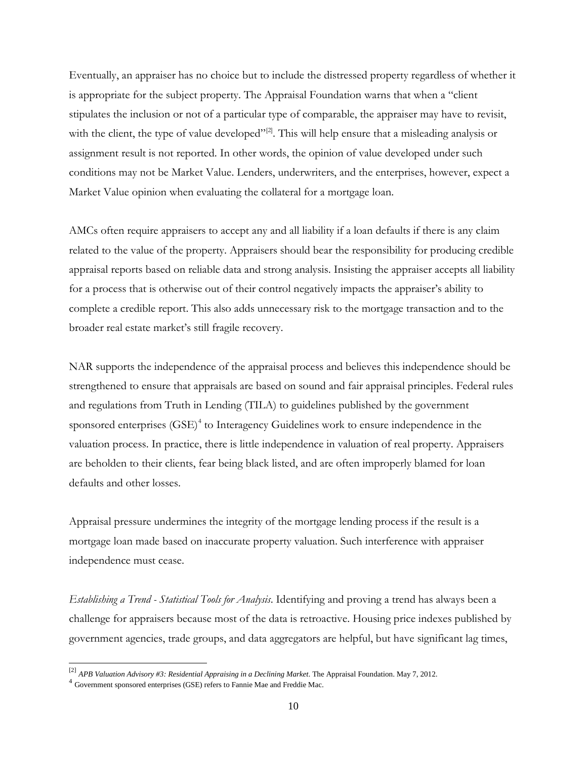Eventually, an appraiser has no choice but to include the distressed property regardless of whether it is appropriate for the subject property. The Appraisal Foundation warns that when a "client stipulates the inclusion or not of a particular type of comparable, the appraiser may have to revisit, with the client, the type of value developed"<sup>[2]</sup>. This will help ensure that a misleading analysis or assignment result is not reported. In other words, the opinion of value developed under such conditions may not be Market Value. Lenders, underwriters, and the enterprises, however, expect a Market Value opinion when evaluating the collateral for a mortgage loan.

AMCs often require appraisers to accept any and all liability if a loan defaults if there is any claim related to the value of the property. Appraisers should bear the responsibility for producing credible appraisal reports based on reliable data and strong analysis. Insisting the appraiser accepts all liability for a process that is otherwise out of their control negatively impacts the appraiser's ability to complete a credible report. This also adds unnecessary risk to the mortgage transaction and to the broader real estate market's still fragile recovery.

NAR supports the independence of the appraisal process and believes this independence should be strengthened to ensure that appraisals are based on sound and fair appraisal principles. Federal rules and regulations from Truth in Lending (TILA) to guidelines published by the government sponsored enterprises  $(SSE)^4$  $(SSE)^4$  to Interagency Guidelines work to ensure independence in the valuation process. In practice, there is little independence in valuation of real property. Appraisers are beholden to their clients, fear being black listed, and are often improperly blamed for loan defaults and other losses.

Appraisal pressure undermines the integrity of the mortgage lending process if the result is a mortgage loan made based on inaccurate property valuation. Such interference with appraiser independence must cease.

*Establishing a Trend - Statistical Tools for Analysis*. Identifying and proving a trend has always been a challenge for appraisers because most of the data is retroactive. Housing price indexes published by government agencies, trade groups, and data aggregators are helpful, but have significant lag times,

<span id="page-9-0"></span> <sup>[2]</sup> *APB Valuation Advisory #3: Residential Appraising in a Declining Market*. The Appraisal Foundation. May 7, 2012.

<span id="page-9-1"></span><sup>4</sup> Government sponsored enterprises (GSE) refers to Fannie Mae and Freddie Mac.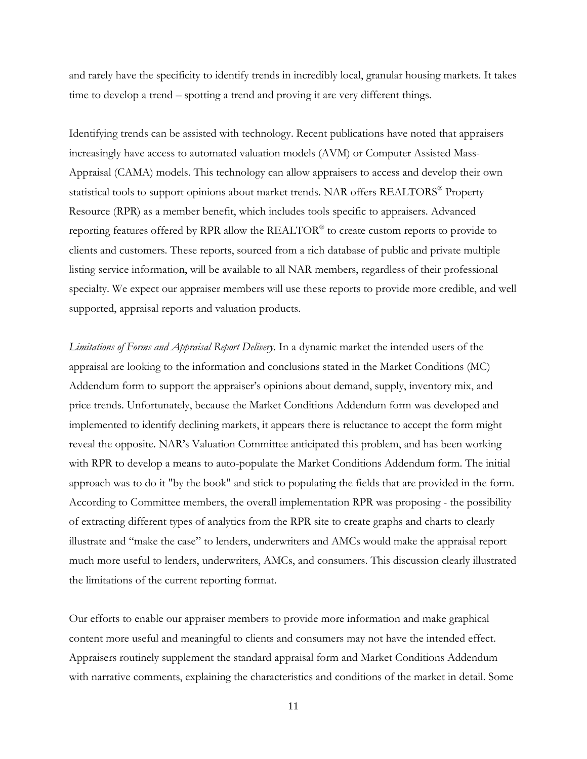and rarely have the specificity to identify trends in incredibly local, granular housing markets. It takes time to develop a trend – spotting a trend and proving it are very different things.

Identifying trends can be assisted with technology. Recent publications have noted that appraisers increasingly have access to automated valuation models (AVM) or Computer Assisted Mass-Appraisal (CAMA) models. This technology can allow appraisers to access and develop their own statistical tools to support opinions about market trends. NAR offers REALTORS® Property Resource (RPR) as a member benefit, which includes tools specific to appraisers. Advanced reporting features offered by RPR allow the REALTOR® to create custom reports to provide to clients and customers. These reports, sourced from a rich database of public and private multiple listing service information, will be available to all NAR members, regardless of their professional specialty. We expect our appraiser members will use these reports to provide more credible, and well supported, appraisal reports and valuation products.

*Limitations of Forms and Appraisal Report Delivery*. In a dynamic market the intended users of the appraisal are looking to the information and conclusions stated in the Market Conditions (MC) Addendum form to support the appraiser's opinions about demand, supply, inventory mix, and price trends. Unfortunately, because the Market Conditions Addendum form was developed and implemented to identify declining markets, it appears there is reluctance to accept the form might reveal the opposite. NAR's Valuation Committee anticipated this problem, and has been working with RPR to develop a means to auto-populate the Market Conditions Addendum form. The initial approach was to do it "by the book" and stick to populating the fields that are provided in the form. According to Committee members, the overall implementation RPR was proposing - the possibility of extracting different types of analytics from the RPR site to create graphs and charts to clearly illustrate and "make the case" to lenders, underwriters and AMCs would make the appraisal report much more useful to lenders, underwriters, AMCs, and consumers. This discussion clearly illustrated the limitations of the current reporting format.

Our efforts to enable our appraiser members to provide more information and make graphical content more useful and meaningful to clients and consumers may not have the intended effect. Appraisers routinely supplement the standard appraisal form and Market Conditions Addendum with narrative comments, explaining the characteristics and conditions of the market in detail. Some

11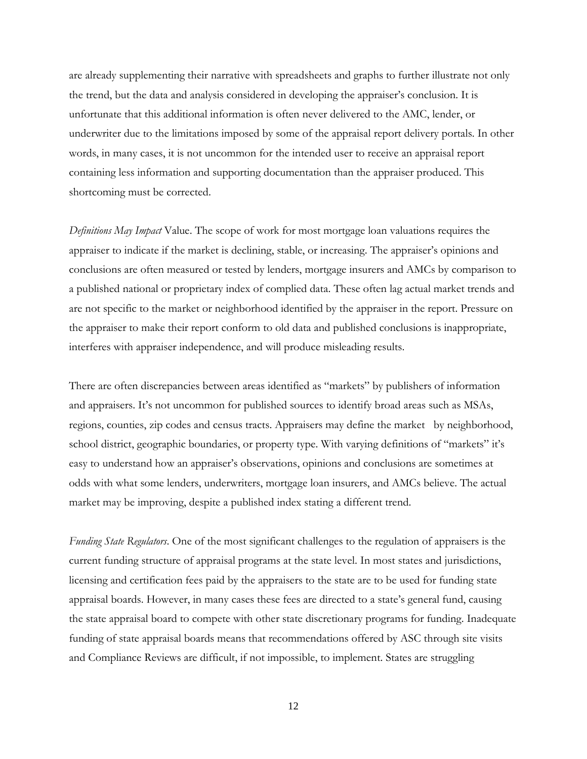are already supplementing their narrative with spreadsheets and graphs to further illustrate not only the trend, but the data and analysis considered in developing the appraiser's conclusion. It is unfortunate that this additional information is often never delivered to the AMC, lender, or underwriter due to the limitations imposed by some of the appraisal report delivery portals. In other words, in many cases, it is not uncommon for the intended user to receive an appraisal report containing less information and supporting documentation than the appraiser produced. This shortcoming must be corrected.

*Definitions May Impact* Value. The scope of work for most mortgage loan valuations requires the appraiser to indicate if the market is declining, stable, or increasing. The appraiser's opinions and conclusions are often measured or tested by lenders, mortgage insurers and AMCs by comparison to a published national or proprietary index of complied data. These often lag actual market trends and are not specific to the market or neighborhood identified by the appraiser in the report. Pressure on the appraiser to make their report conform to old data and published conclusions is inappropriate, interferes with appraiser independence, and will produce misleading results.

There are often discrepancies between areas identified as "markets" by publishers of information and appraisers. It's not uncommon for published sources to identify broad areas such as MSAs, regions, counties, zip codes and census tracts. Appraisers may define the market by neighborhood, school district, geographic boundaries, or property type. With varying definitions of "markets" it's easy to understand how an appraiser's observations, opinions and conclusions are sometimes at odds with what some lenders, underwriters, mortgage loan insurers, and AMCs believe. The actual market may be improving, despite a published index stating a different trend.

*Funding State Regulators*. One of the most significant challenges to the regulation of appraisers is the current funding structure of appraisal programs at the state level. In most states and jurisdictions, licensing and certification fees paid by the appraisers to the state are to be used for funding state appraisal boards. However, in many cases these fees are directed to a state's general fund, causing the state appraisal board to compete with other state discretionary programs for funding. Inadequate funding of state appraisal boards means that recommendations offered by ASC through site visits and Compliance Reviews are difficult, if not impossible, to implement. States are struggling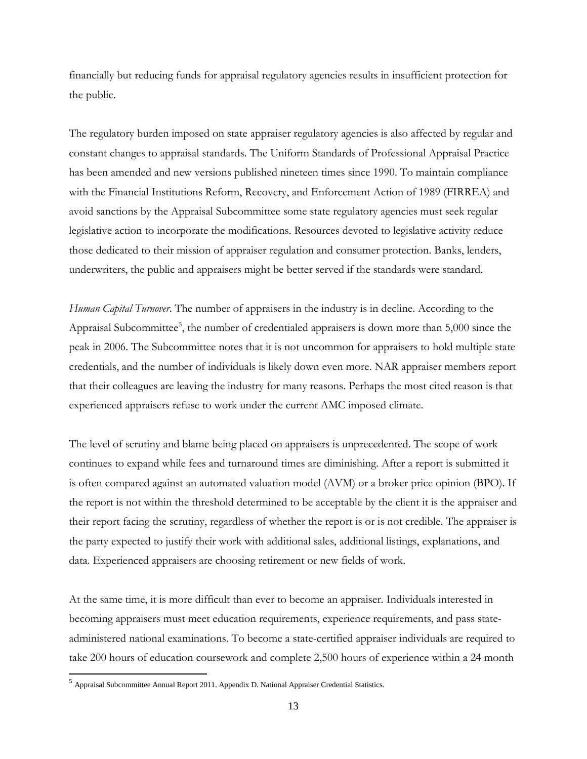financially but reducing funds for appraisal regulatory agencies results in insufficient protection for the public.

The regulatory burden imposed on state appraiser regulatory agencies is also affected by regular and constant changes to appraisal standards. The Uniform Standards of Professional Appraisal Practice has been amended and new versions published nineteen times since 1990. To maintain compliance with the Financial Institutions Reform, Recovery, and Enforcement Action of 1989 (FIRREA) and avoid sanctions by the Appraisal Subcommittee some state regulatory agencies must seek regular legislative action to incorporate the modifications. Resources devoted to legislative activity reduce those dedicated to their mission of appraiser regulation and consumer protection. Banks, lenders, underwriters, the public and appraisers might be better served if the standards were standard.

*Human Capital Turnover*. The number of appraisers in the industry is in decline. According to the Appraisal Subcommittee<sup>[5](#page-12-0)</sup>, the number of credentialed appraisers is down more than 5,000 since the peak in 2006. The Subcommittee notes that it is not uncommon for appraisers to hold multiple state credentials, and the number of individuals is likely down even more. NAR appraiser members report that their colleagues are leaving the industry for many reasons. Perhaps the most cited reason is that experienced appraisers refuse to work under the current AMC imposed climate.

The level of scrutiny and blame being placed on appraisers is unprecedented. The scope of work continues to expand while fees and turnaround times are diminishing. After a report is submitted it is often compared against an automated valuation model (AVM) or a broker price opinion (BPO). If the report is not within the threshold determined to be acceptable by the client it is the appraiser and their report facing the scrutiny, regardless of whether the report is or is not credible. The appraiser is the party expected to justify their work with additional sales, additional listings, explanations, and data. Experienced appraisers are choosing retirement or new fields of work.

At the same time, it is more difficult than ever to become an appraiser. Individuals interested in becoming appraisers must meet education requirements, experience requirements, and pass stateadministered national examinations. To become a state-certified appraiser individuals are required to take 200 hours of education coursework and complete 2,500 hours of experience within a 24 month

<span id="page-12-0"></span> $<sup>5</sup>$  Appraisal Subcommittee Annual Report 2011. Appendix D. National Appraiser Credential Statistics.</sup>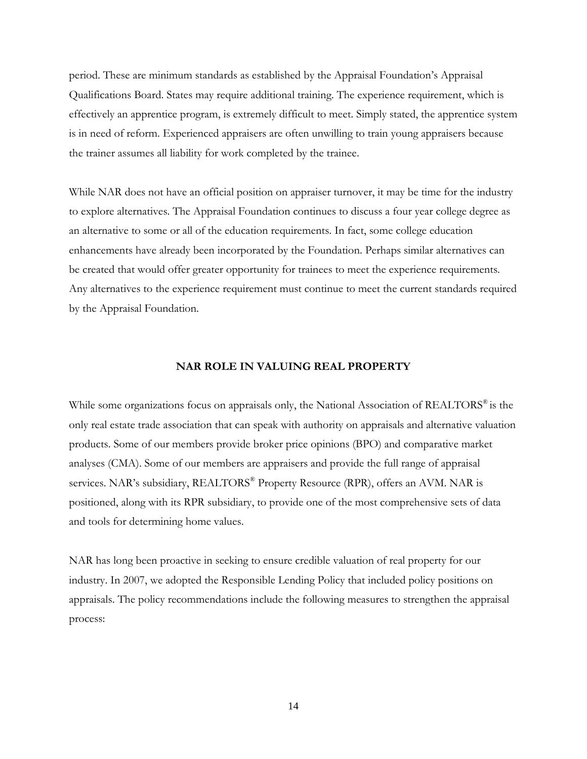period. These are minimum standards as established by the Appraisal Foundation's Appraisal Qualifications Board. States may require additional training. The experience requirement, which is effectively an apprentice program, is extremely difficult to meet. Simply stated, the apprentice system is in need of reform. Experienced appraisers are often unwilling to train young appraisers because the trainer assumes all liability for work completed by the trainee.

While NAR does not have an official position on appraiser turnover, it may be time for the industry to explore alternatives. The Appraisal Foundation continues to discuss a four year college degree as an alternative to some or all of the education requirements. In fact, some college education enhancements have already been incorporated by the Foundation. Perhaps similar alternatives can be created that would offer greater opportunity for trainees to meet the experience requirements. Any alternatives to the experience requirement must continue to meet the current standards required by the Appraisal Foundation.

#### **NAR ROLE IN VALUING REAL PROPERTY**

While some organizations focus on appraisals only, the National Association of REALTORS<sup>®</sup> is the only real estate trade association that can speak with authority on appraisals and alternative valuation products. Some of our members provide broker price opinions (BPO) and comparative market analyses (CMA). Some of our members are appraisers and provide the full range of appraisal services. NAR's subsidiary, REALTORS® Property Resource (RPR), offers an AVM. NAR is positioned, along with its RPR subsidiary, to provide one of the most comprehensive sets of data and tools for determining home values.

NAR has long been proactive in seeking to ensure credible valuation of real property for our industry. In 2007, we adopted the Responsible Lending Policy that included policy positions on appraisals. The policy recommendations include the following measures to strengthen the appraisal process: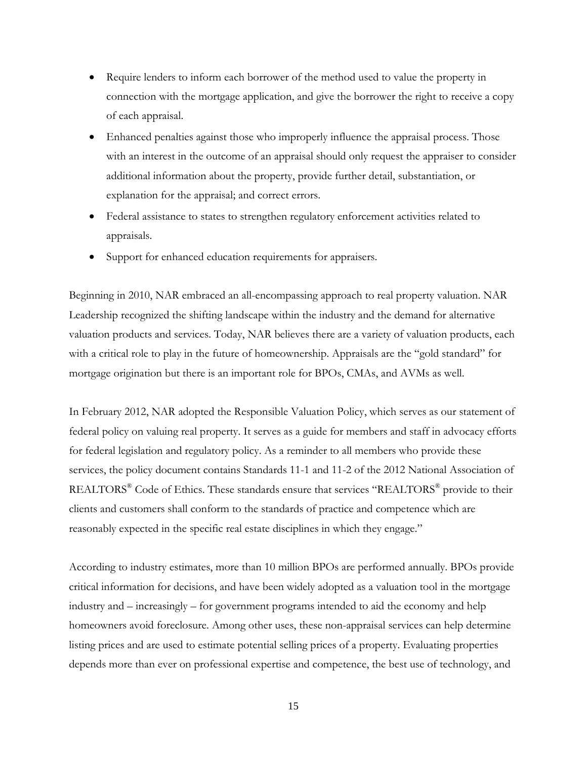- Require lenders to inform each borrower of the method used to value the property in connection with the mortgage application, and give the borrower the right to receive a copy of each appraisal.
- Enhanced penalties against those who improperly influence the appraisal process. Those with an interest in the outcome of an appraisal should only request the appraiser to consider additional information about the property, provide further detail, substantiation, or explanation for the appraisal; and correct errors.
- Federal assistance to states to strengthen regulatory enforcement activities related to appraisals.
- Support for enhanced education requirements for appraisers.

Beginning in 2010, NAR embraced an all-encompassing approach to real property valuation. NAR Leadership recognized the shifting landscape within the industry and the demand for alternative valuation products and services. Today, NAR believes there are a variety of valuation products, each with a critical role to play in the future of homeownership. Appraisals are the "gold standard" for mortgage origination but there is an important role for BPOs, CMAs, and AVMs as well.

In February 2012, NAR adopted the Responsible Valuation Policy, which serves as our statement of federal policy on valuing real property. It serves as a guide for members and staff in advocacy efforts for federal legislation and regulatory policy. As a reminder to all members who provide these services, the policy document contains Standards 11-1 and 11-2 of the 2012 National Association of REALTORS® Code of Ethics. These standards ensure that services "REALTORS® provide to their clients and customers shall conform to the standards of practice and competence which are reasonably expected in the specific real estate disciplines in which they engage."

According to industry estimates, more than 10 million BPOs are performed annually. BPOs provide critical information for decisions, and have been widely adopted as a valuation tool in the mortgage industry and – increasingly – for government programs intended to aid the economy and help homeowners avoid foreclosure. Among other uses, these non-appraisal services can help determine listing prices and are used to estimate potential selling prices of a property. Evaluating properties depends more than ever on professional expertise and competence, the best use of technology, and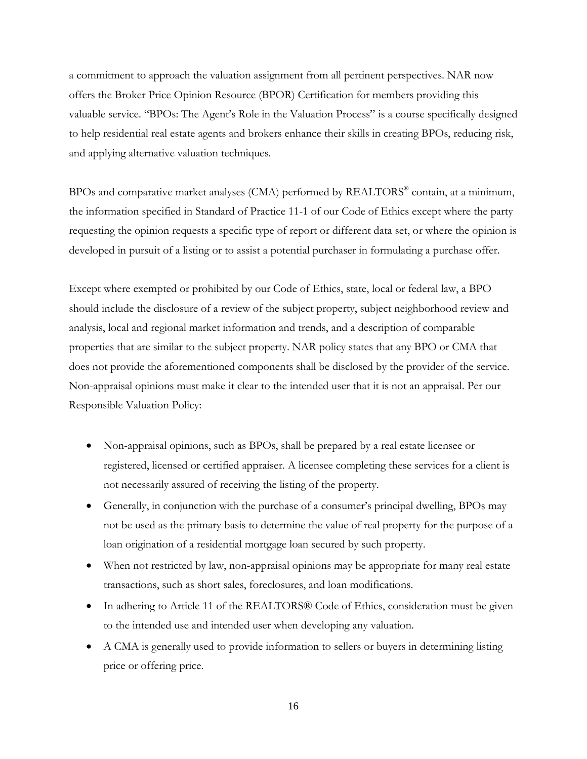a commitment to approach the valuation assignment from all pertinent perspectives. NAR now offers the Broker Price Opinion Resource (BPOR) Certification for members providing this valuable service. "BPOs: The Agent's Role in the Valuation Process" is a course specifically designed to help residential real estate agents and brokers enhance their skills in creating BPOs, reducing risk, and applying alternative valuation techniques.

BPOs and comparative market analyses (CMA) performed by REALTORS® contain, at a minimum, the information specified in Standard of Practice 11-1 of our Code of Ethics except where the party requesting the opinion requests a specific type of report or different data set, or where the opinion is developed in pursuit of a listing or to assist a potential purchaser in formulating a purchase offer.

Except where exempted or prohibited by our Code of Ethics, state, local or federal law, a BPO should include the disclosure of a review of the subject property, subject neighborhood review and analysis, local and regional market information and trends, and a description of comparable properties that are similar to the subject property. NAR policy states that any BPO or CMA that does not provide the aforementioned components shall be disclosed by the provider of the service. Non-appraisal opinions must make it clear to the intended user that it is not an appraisal. Per our Responsible Valuation Policy:

- Non-appraisal opinions, such as BPOs, shall be prepared by a real estate licensee or registered, licensed or certified appraiser. A licensee completing these services for a client is not necessarily assured of receiving the listing of the property.
- Generally, in conjunction with the purchase of a consumer's principal dwelling, BPOs may not be used as the primary basis to determine the value of real property for the purpose of a loan origination of a residential mortgage loan secured by such property.
- When not restricted by law, non-appraisal opinions may be appropriate for many real estate transactions, such as short sales, foreclosures, and loan modifications.
- In adhering to Article 11 of the REALTORS® Code of Ethics, consideration must be given to the intended use and intended user when developing any valuation.
- A CMA is generally used to provide information to sellers or buyers in determining listing price or offering price.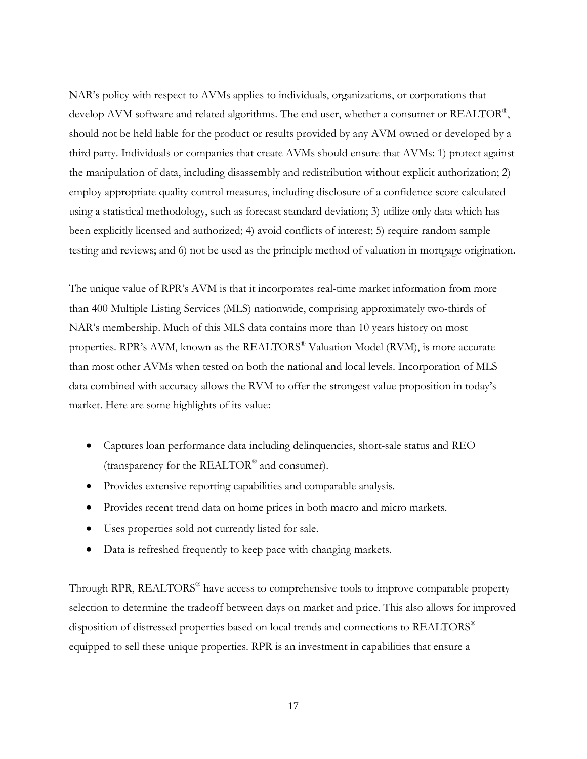NAR's policy with respect to AVMs applies to individuals, organizations, or corporations that develop AVM software and related algorithms. The end user, whether a consumer or REALTOR®, should not be held liable for the product or results provided by any AVM owned or developed by a third party. Individuals or companies that create AVMs should ensure that AVMs: 1) protect against the manipulation of data, including disassembly and redistribution without explicit authorization; 2) employ appropriate quality control measures, including disclosure of a confidence score calculated using a statistical methodology, such as forecast standard deviation; 3) utilize only data which has been explicitly licensed and authorized; 4) avoid conflicts of interest; 5) require random sample testing and reviews; and 6) not be used as the principle method of valuation in mortgage origination.

The unique value of RPR's AVM is that it incorporates real-time market information from more than 400 Multiple Listing Services (MLS) nationwide, comprising approximately two-thirds of NAR's membership. Much of this MLS data contains more than 10 years history on most properties. RPR's AVM, known as the REALTORS® Valuation Model (RVM), is more accurate than most other AVMs when tested on both the national and local levels. Incorporation of MLS data combined with accuracy allows the RVM to offer the strongest value proposition in today's market. Here are some highlights of its value:

- Captures loan performance data including delinquencies, short-sale status and REO (transparency for the REALTOR® and consumer).
- Provides extensive reporting capabilities and comparable analysis.
- Provides recent trend data on home prices in both macro and micro markets.
- Uses properties sold not currently listed for sale.
- Data is refreshed frequently to keep pace with changing markets.

Through RPR, REALTORS® have access to comprehensive tools to improve comparable property selection to determine the tradeoff between days on market and price. This also allows for improved disposition of distressed properties based on local trends and connections to REALTORS<sup>®</sup> equipped to sell these unique properties. RPR is an investment in capabilities that ensure a